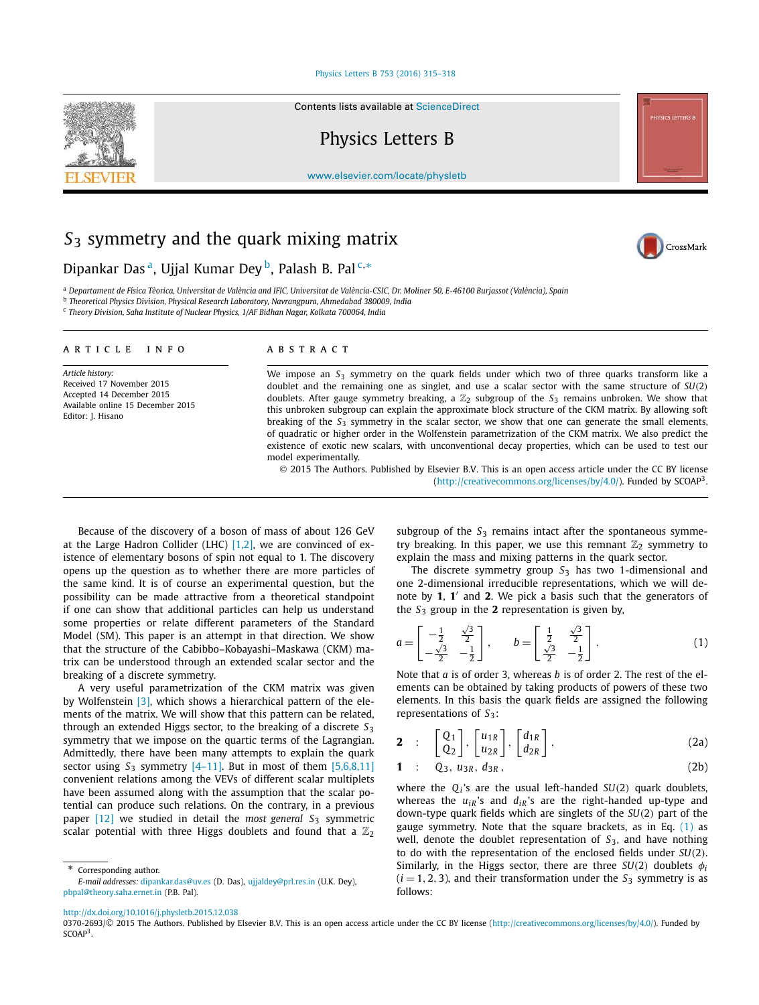## Physics Letters B 753 (2016) 315–318

Contents lists available at ScienceDirect

Physics Letters B

www.elsevier.com/locate/physletb

# *S*<sup>3</sup> symmetry and the quark mixing matrix

Dipankar Das <sup>a</sup>, Ujjal Kumar Dey <sup>b</sup>, Palash B. Pal <sup>c,</sup>\*

<sup>a</sup> Departament de Física Tèorica, Universitat de València and IFIC, Universitat de València-CSIC, Dr. Moliner 50, E-46100 Burjassot (València), Spain

b *Theoretical Physics Division, Physical Research Laboratory, Navrangpura, Ahmedabad 380009, India*

c *Theory Division, Saha Institute of Nuclear Physics, 1/AF Bidhan Nagar, Kolkata 700064, India*

### A R T I C L E I N F O A B S T R A C T

*Article history:* Received 17 November 2015 Accepted 14 December 2015 Available online 15 December 2015 Editor: J. Hisano

We impose an *S*<sup>3</sup> symmetry on the quark fields under which two of three quarks transform like a doublet and the remaining one as singlet, and use a scalar sector with the same structure of *SU*(2) doublets. After gauge symmetry breaking, <sup>a</sup> Z<sup>2</sup> subgroup of the *<sup>S</sup>*<sup>3</sup> remains unbroken. We show that this unbroken subgroup can explain the approximate block structure of the CKM matrix. By allowing soft breaking of the *S*<sup>3</sup> symmetry in the scalar sector, we show that one can generate the small elements, of quadratic or higher order in the Wolfenstein parametrization of the CKM matrix. We also predict the existence of exotic new scalars, with unconventional decay properties, which can be used to test our model experimentally.

 2015 The Authors. Published by Elsevier B.V. This is an open access article under the CC BY license (http://creativecommons.org/licenses/by/4.0/). Funded by SCOAP<sup>3</sup>.

Because of the discovery of a boson of mass of about 126 GeV at the Large Hadron Collider (LHC)  $[1,2]$ , we are convinced of existence of elementary bosons of spin not equal to 1. The discovery opens up the question as to whether there are more particles of the same kind. It is of course an experimental question, but the possibility can be made attractive from a theoretical standpoint if one can show that additional particles can help us understand some properties or relate different parameters of the Standard Model (SM). This paper is an attempt in that direction. We show that the structure of the Cabibbo–Kobayashi–Maskawa (CKM) matrix can be understood through an extended scalar sector and the breaking of a discrete symmetry.

A very useful parametrization of the CKM matrix was given by Wolfenstein [3], which shows a hierarchical pattern of the elements of the matrix. We will show that this pattern can be related, through an extended Higgs sector, to the breaking of a discrete *S*<sup>3</sup> symmetry that we impose on the quartic terms of the Lagrangian. Admittedly, there have been many attempts to explain the quark sector using  $S_3$  symmetry  $[4-11]$ . But in most of them  $[5,6,8,11]$ convenient relations among the VEVs of different scalar multiplets have been assumed along with the assumption that the scalar potential can produce such relations. On the contrary, in a previous paper [12] we studied in detail the *most general S*<sup>3</sup> symmetric scalar potential with three Higgs doublets and found that a  $\mathbb{Z}_2$ 

Corresponding author.

subgroup of the  $S_3$  remains intact after the spontaneous symmetry breaking. In this paper, we use this remnant  $\mathbb{Z}_2$  symmetry to explain the mass and mixing patterns in the quark sector.

The discrete symmetry group *S*<sup>3</sup> has two 1-dimensional and one 2-dimensional irreducible representations, which we will denote by **1**, **1** ′ and **2**. We pick a basis such that the generators of the  $S_3$  group in the 2 representation is given by,

$$
a = \begin{bmatrix} -\frac{1}{2} & \frac{\sqrt{3}}{2} \\ -\frac{\sqrt{3}}{2} & -\frac{1}{2} \end{bmatrix}, \qquad b = \begin{bmatrix} \frac{1}{2} & \frac{\sqrt{3}}{2} \\ \frac{\sqrt{3}}{2} & -\frac{1}{2} \end{bmatrix}.
$$
 (1)

Note that *a* is of order 3, whereas *b* is of order 2. The rest of the elements can be obtained by taking products of powers of these two elements. In this basis the quark fields are assigned the following representations of S<sub>3</sub>:

$$
\mathbf{2} : \begin{bmatrix} Q_1 \\ Q_2 \end{bmatrix}, \begin{bmatrix} u_{1R} \\ u_{2R} \end{bmatrix}, \begin{bmatrix} d_{1R} \\ d_{2R} \end{bmatrix}, \tag{2a}
$$

$$
1 : Q_3, u_{3R}, d_{3R}, \qquad (2b)
$$

where the  $Q_i$ 's are the usual left-handed  $SU(2)$  quark doublets, whereas the  $u_{iR}$ 's and  $d_{iR}$ 's are the right-handed up-type and down-type quark fields which are singlets of the *SU*(2) part of the gauge symmetry. Note that the square brackets, as in Eq.  $(1)$  as well, denote the doublet representation of *S*3, and have nothing to do with the representation of the enclosed fields under *SU*(2). Similarly, in the Higgs sector, there are three  $SU(2)$  doublets  $\phi_i$  $(i = 1, 2, 3)$ , and their transformation under the  $S_3$  symmetry is as follows:





*E-mail addresses:* dipankar.das@uv.es (D. Das), ujjaldey@prl.res.in (U.K. Dey), pbpal@theory.saha.ernet.in (P.B. Pal).

http://dx.doi.org/10.1016/j.physletb.2015.12.038

<sup>0370-2693/© 2015</sup> The Authors. Published by Elsevier B.V. This is an open access article under the CC BY license (http://creativecommons.org/licenses/by/4.0/). Funded by  $SCOAP<sup>3</sup>$ .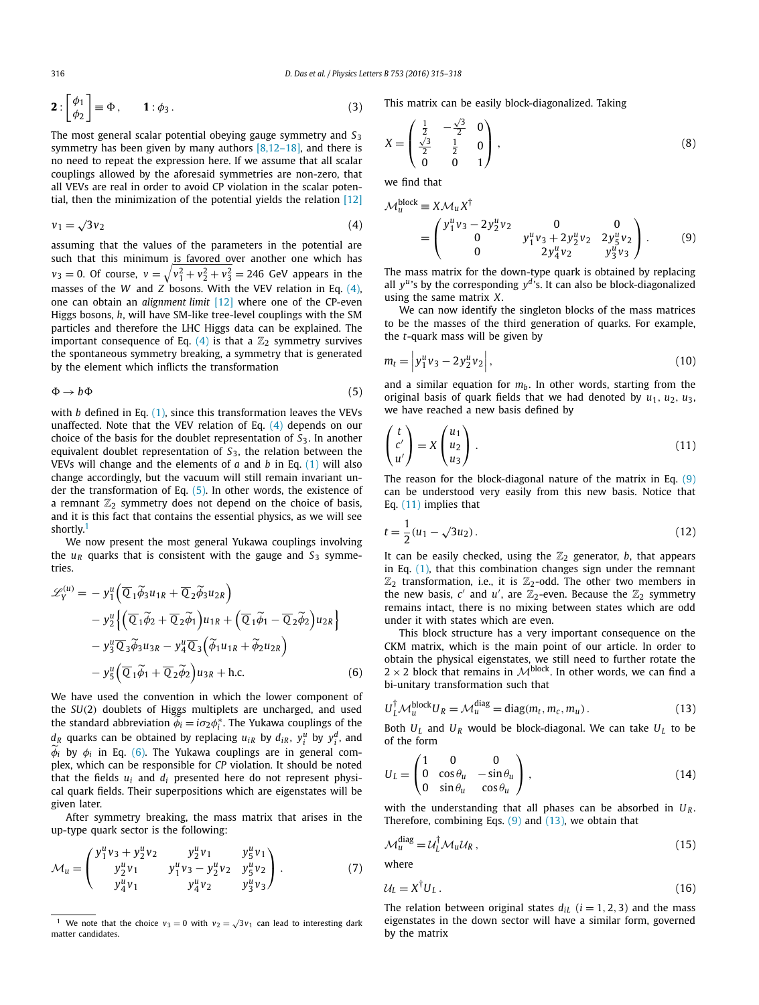$$
\mathbf{2}: \begin{bmatrix} \phi_1 \\ \phi_2 \end{bmatrix} \equiv \Phi \,, \qquad \mathbf{1}: \phi_3 \,.
$$
 (3)

The most general scalar potential obeying gauge symmetry and *S*<sup>3</sup> symmetry has been given by many authors  $[8,12-18]$ , and there is no need to repeat the expression here. If we assume that all scalar couplings allowed by the aforesaid symmetries are non-zero, that all VEVs are real in order to avoid CP violation in the scalar potential, then the minimization of the potential yields the relation [12]

$$
v_1 = \sqrt{3}v_2\tag{4}
$$

assuming that the values of the parameters in the potential are such that this minimum is favored over another one which has  $v_3 = 0$ . Of course,  $v = \sqrt{v_1^2 + v_2^2 + v_3^2} = 246$  GeV appears in the masses of the *W* and *Z* bosons. With the VEV relation in Eq.  $(4)$ , one can obtain an *alignment limit* [12] where one of the CP-even Higgs bosons, *h*, will have SM-like tree-level couplings with the SM particles and therefore the LHC Higgs data can be explained. The important consequence of Eq. (4) is that a  $\mathbb{Z}_2$  symmetry survives the spontaneous symmetry breaking, a symmetry that is generated by the element which inflicts the transformation

$$
\Phi \to b\Phi \tag{5}
$$

with *b* defined in Eq. (1), since this transformation leaves the VEVs unaffected. Note that the VEV relation of Eq. (4) depends on our choice of the basis for the doublet representation of *S*3. In another equivalent doublet representation of *S*3, the relation between the VEVs will change and the elements of *a* and *b* in Eq. (1) will also change accordingly, but the vacuum will still remain invariant under the transformation of Eq. (5). In other words, the existence of a remnant  $\mathbb{Z}_2$  symmetry does not depend on the choice of basis, and it is this fact that contains the essential physics, as we will see shortly.<sup>1</sup>

We now present the most general Yukawa couplings involving the  $u_R$  quarks that is consistent with the gauge and  $S_3$  symmetries.

$$
\mathcal{L}_{Y}^{(u)} = -y_{1}^{u} \left( \overline{Q}_{1} \widetilde{\phi}_{3} u_{1R} + \overline{Q}_{2} \widetilde{\phi}_{3} u_{2R} \right) \n- y_{2}^{u} \left\{ \left( \overline{Q}_{1} \widetilde{\phi}_{2} + \overline{Q}_{2} \widetilde{\phi}_{1} \right) u_{1R} + \left( \overline{Q}_{1} \widetilde{\phi}_{1} - \overline{Q}_{2} \widetilde{\phi}_{2} \right) u_{2R} \right\} \n- y_{3}^{u} \overline{Q}_{3} \widetilde{\phi}_{3} u_{3R} - y_{4}^{u} \overline{Q}_{3} \left( \widetilde{\phi}_{1} u_{1R} + \widetilde{\phi}_{2} u_{2R} \right) \n- y_{5}^{u} \left( \overline{Q}_{1} \widetilde{\phi}_{1} + \overline{Q}_{2} \widetilde{\phi}_{2} \right) u_{3R} + \text{h.c.}
$$
\n(6)

We have used the convention in which the lower component of the *SU*(2) doublets of Higgs multiplets are uncharged, and used the standard abbreviation  $\phi_i = i\sigma_2 \phi_i^*$ . The Yukawa couplings of the  $d_R$  quarks can be obtained by replacing  $u_{iR}$  by  $d_{iR}$ ,  $y_i^u$  by  $y_i^d$ , and  $\phi_i$  by  $\phi_i$  in Eq. (6). The Yukawa couplings are in general complex, which can be responsible for *CP* violation. It should be noted that the fields  $u_i$  and  $d_i$  presented here do not represent physical quark fields. Their superpositions which are eigenstates will be given later.

After symmetry breaking, the mass matrix that arises in the up-type quark sector is the following:

*u*

$$
\mathcal{M}_u = \begin{pmatrix} y_1^u v_3 + y_2^u v_2 & y_2^u v_1 & y_5^u v_1 \\ y_2^u v_1 & y_1^u v_3 - y_2^u v_2 & y_5^u v_2 \\ y_4^u v_1 & y_4^u v_2 & y_3^u v_3 \end{pmatrix} . \tag{7}
$$

This matrix can be easily block-diagonalized. Taking

$$
X = \begin{pmatrix} \frac{1}{2} & -\frac{\sqrt{3}}{2} & 0 \\ \frac{\sqrt{3}}{2} & \frac{1}{2} & 0 \\ 0 & 0 & 1 \end{pmatrix},
$$
 (8)

we find that

$$
\mathcal{M}_u^{\text{block}} \equiv X \mathcal{M}_u X^{\dagger} \n= \begin{pmatrix} y_1^u v_3 - 2y_2^u v_2 & 0 & 0 \\ 0 & y_1^u v_3 + 2y_2^u v_2 & 2y_5^u v_2 \\ 0 & 2y_4^u v_2 & y_3^u v_3 \end{pmatrix} .
$$
\n(9)

The mass matrix for the down-type quark is obtained by replacing all  $y^u$ 's by the corresponding  $y^d$ 's. It can also be block-diagonalized using the same matrix *X*.

We can now identify the singleton blocks of the mass matrices to be the masses of the third generation of quarks. For example, the *t*-quark mass will be given by

$$
m_t = |y_1^u v_3 - 2y_2^u v_2|,
$$
\n(10)

and a similar equation for  $m_b$ . In other words, starting from the original basis of quark fields that we had denoted by  $u_1, u_2, u_3$ , we have reached a new basis defined by

$$
\begin{pmatrix} t \\ c' \\ u' \end{pmatrix} = X \begin{pmatrix} u_1 \\ u_2 \\ u_3 \end{pmatrix} . \tag{11}
$$

The reason for the block-diagonal nature of the matrix in Eq.  $(9)$ can be understood very easily from this new basis. Notice that Eq. (11) implies that

$$
t = \frac{1}{2}(u_1 - \sqrt{3u_2}).
$$
\n(12)

It can be easily checked, using the  $\mathbb{Z}_2$  generator, *b*, that appears in Eq. (1), that this combination changes sign under the remnant  $\mathbb{Z}_2$  transformation, i.e., it is  $\mathbb{Z}_2$ -odd. The other two members in the new basis,  $c'$  and  $u'$ , are  $\mathbb{Z}_2$ -even. Because the  $\mathbb{Z}_2$  symmetry remains intact, there is no mixing between states which are odd under it with states which are even.

This block structure has a very important consequence on the CKM matrix, which is the main point of our article. In order to obtain the physical eigenstates, we still need to further rotate the  $2 \times 2$  block that remains in  $\mathcal{M}^{\text{block}}$ . In other words, we can find a bi-unitary transformation such that

$$
U_L^{\dagger} \mathcal{M}_u^{\text{block}} U_R = \mathcal{M}_u^{\text{diag}} = \text{diag}(m_t, m_c, m_u). \tag{13}
$$

Both  $U_L$  and  $U_R$  would be block-diagonal. We can take  $U_L$  to be of the form

$$
U_L = \begin{pmatrix} 1 & 0 & 0 \\ 0 & \cos \theta_u & -\sin \theta_u \\ 0 & \sin \theta_u & \cos \theta_u \end{pmatrix},
$$
(14)

with the understanding that all phases can be absorbed in *U<sup>R</sup>* . Therefore, combining Eqs.  $(9)$  and  $(13)$ , we obtain that

$$
\mathcal{M}_u^{\text{diag}} = \mathcal{U}_L^\dagger \mathcal{M}_u \mathcal{U}_R \,, \tag{15}
$$

where

$$
\mathcal{U}_L = X^{\dagger} U_L \,. \tag{16}
$$

The relation between original states  $d_{iL}$  ( $i = 1, 2, 3$ ) and the mass eigenstates in the down sector will have a similar form, governed by the matrix

<sup>&</sup>lt;sup>1</sup> We note that the choice  $v_3 = 0$  with  $v_2 = \sqrt{3}v_1$  can lead to interesting dark matter candidates.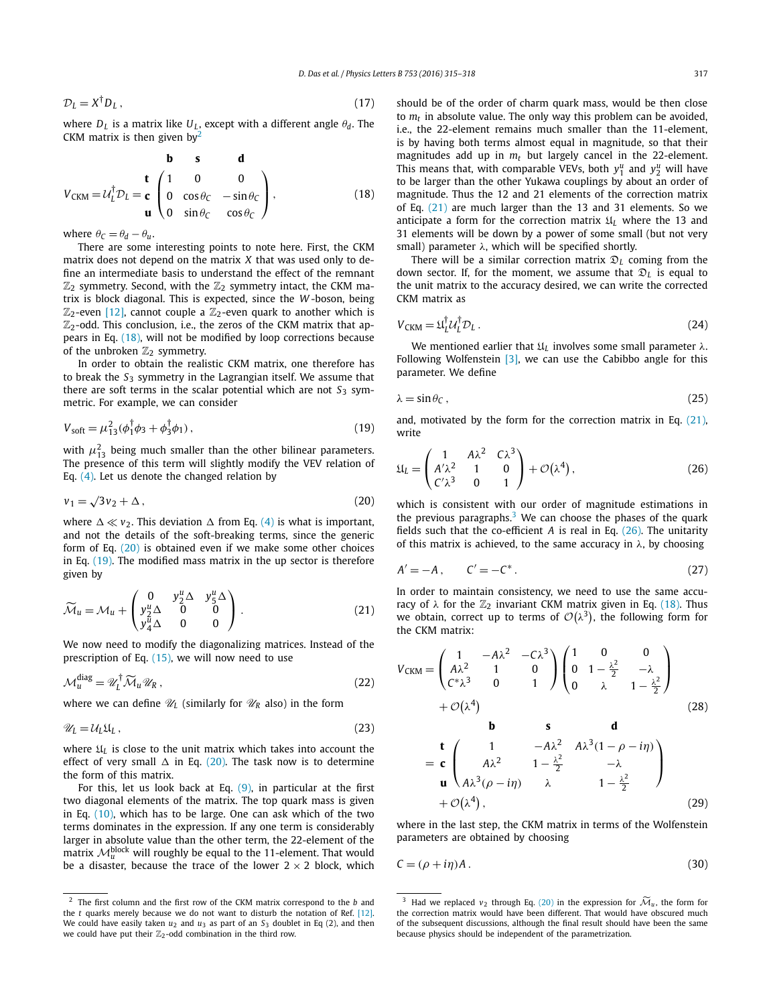$\mathcal{D}_I = X^\dagger D_I$ ,  $^{\dagger}D_L$ , (17)

where  $D_L$  is a matrix like  $U_L$ , except with a different angle  $\theta_d$ . The CKM matrix is then given by<sup>2</sup>

$$
\mathbf{b} \quad \mathbf{s} \quad \mathbf{d}
$$
  
\n
$$
V_{CKM} = U_L^{\dagger} D_L = \mathbf{c} \begin{pmatrix} 1 & 0 & 0 \\ 0 & \cos \theta_C & -\sin \theta_C \\ 0 & \sin \theta_C & \cos \theta_C \end{pmatrix},
$$
\n(18)

where  $\theta_C = \theta_d - \theta_u$ .

There are some interesting points to note here. First, the CKM matrix does not depend on the matrix *X* that was used only to define an intermediate basis to understand the effect of the remnant  $\mathbb{Z}_2$  symmetry. Second, with the  $\mathbb{Z}_2$  symmetry intact, the CKM matrix is block diagonal. This is expected, since the *W* -boson, being  $\mathbb{Z}_2$ -even [12], cannot couple a  $\mathbb{Z}_2$ -even quark to another which is  $\mathbb{Z}_2$ -odd. This conclusion, i.e., the zeros of the CKM matrix that appears in Eq. (18), will not be modified by loop corrections because of the unbroken  $\mathbb{Z}_2$  symmetry.

In order to obtain the realistic CKM matrix, one therefore has to break the *S*<sup>3</sup> symmetry in the Lagrangian itself. We assume that there are soft terms in the scalar potential which are not  $S_3$  symmetric. For example, we can consider

$$
V_{\text{soft}} = \mu_{13}^2 (\phi_1^\dagger \phi_3 + \phi_3^\dagger \phi_1), \tag{19}
$$

with  $\mu_{13}^2$  being much smaller than the other bilinear parameters. The presence of this term will slightly modify the VEV relation of Eq. (4). Let us denote the changed relation by

$$
v_1 = \sqrt{3}v_2 + \Delta \,,\tag{20}
$$

where  $\Delta \ll v_2$ . This deviation  $\Delta$  from Eq. (4) is what is important, and not the details of the soft-breaking terms, since the generic form of Eq. (20) is obtained even if we make some other choices in Eq. (19). The modified mass matrix in the up sector is therefore given by

$$
\widetilde{\mathcal{M}}_u = \mathcal{M}_u + \begin{pmatrix} 0 & y_2^u \Delta & y_5^u \Delta \\ y_2^u \Delta & 0 & 0 \\ y_4^u \Delta & 0 & 0 \end{pmatrix} . \tag{21}
$$

We now need to modify the diagonalizing matrices. Instead of the prescription of Eq.  $(15)$ , we will now need to use

$$
\mathcal{M}_u^{\text{diag}} = \mathscr{U}_L^{\dagger} \widetilde{\mathcal{M}}_u \mathscr{U}_R , \qquad (22)
$$

where we can define  $\mathcal{U}_L$  (similarly for  $\mathcal{U}_R$  also) in the form

$$
\mathscr{U}_L = \mathcal{U}_L \mathfrak{U}_L \,, \tag{23}
$$

where  $\mathfrak{U}_L$  is close to the unit matrix which takes into account the effect of very small  $\Delta$  in Eq. (20). The task now is to determine the form of this matrix.

For this, let us look back at Eq.  $(9)$ , in particular at the first two diagonal elements of the matrix. The top quark mass is given in Eq. (10), which has to be large. One can ask which of the two terms dominates in the expression. If any one term is considerably larger in absolute value than the other term, the 22-element of the matrix  $\mathcal{M}^{\text{block}}_{u}$  will roughly be equal to the 11-element. That would be a disaster, because the trace of the lower  $2 \times 2$  block, which should be of the order of charm quark mass, would be then close to *m<sup>t</sup>* in absolute value. The only way this problem can be avoided, i.e., the 22-element remains much smaller than the 11-element, is by having both terms almost equal in magnitude, so that their magnitudes add up in *m<sup>t</sup>* but largely cancel in the 22-element. This means that, with comparable VEVs, both  $y_1^u$  and  $y_2^u$  will have to be larger than the other Yukawa couplings by about an order of magnitude. Thus the 12 and 21 elements of the correction matrix of Eq. (21) are much larger than the 13 and 31 elements. So we anticipate a form for the correction matrix  $\mathfrak{U}_L$  where the 13 and 31 elements will be down by a power of some small (but not very small) parameter  $\lambda$ , which will be specified shortly.

There will be a similar correction matrix D*<sup>L</sup>* coming from the down sector. If, for the moment, we assume that  $\mathfrak{D}_L$  is equal to the unit matrix to the accuracy desired, we can write the corrected CKM matrix as

$$
V_{CKM} = \mathfrak{U}_L^{\dagger} \mathcal{U}_L^{\dagger} \mathcal{D}_L. \tag{24}
$$

We mentioned earlier that  $\mathfrak{U}_L$  involves some small parameter  $\lambda$ . Following Wolfenstein  $[3]$ , we can use the Cabibbo angle for this parameter. We define

$$
\lambda = \sin \theta \mathbf{C} \,, \tag{25}
$$

and, motivated by the form for the correction matrix in Eq. (21), write

$$
\mathfrak{U}_L = \begin{pmatrix} 1 & A\lambda^2 & C\lambda^3 \\ A'\lambda^2 & 1 & 0 \\ C'\lambda^3 & 0 & 1 \end{pmatrix} + \mathcal{O}(\lambda^4), \tag{26}
$$

which is consistent with our order of magnitude estimations in the previous paragraphs. $3$  We can choose the phases of the quark fields such that the co-efficient *A* is real in Eq. (26). The unitarity of this matrix is achieved, to the same accuracy in  $\lambda$ , by choosing

$$
A' = -A, \qquad C' = -C^*.
$$
\n<sup>(27)</sup>

In order to maintain consistency, we need to use the same accuracy of  $\lambda$  for the  $\mathbb{Z}_2$  invariant CKM matrix given in Eq. (18). Thus we obtain, correct up to terms of  $\mathcal{O}(\lambda^3)$ , the following form for the CKM matrix:

$$
V_{CKM} = \begin{pmatrix} 1 & -A\lambda^2 & -C\lambda^3 \\ A\lambda^2 & 1 & 0 \\ C^*\lambda^3 & 0 & 1 \end{pmatrix} \begin{pmatrix} 1 & 0 & 0 \\ 0 & 1 - \frac{\lambda^2}{2} & -\lambda \\ 0 & \lambda & 1 - \frac{\lambda^2}{2} \end{pmatrix} + \mathcal{O}(\lambda^4) \qquad (28)
$$
  
\n
$$
= \mathbf{c} \begin{pmatrix} 1 & -A\lambda^2 & A\lambda^3(1 - \rho - i\eta) \\ A\lambda^2 & 1 - \frac{\lambda^2}{2} & -\lambda \\ 0 & \lambda & 1 - \frac{\lambda^2}{2} \end{pmatrix} + \mathcal{O}(\lambda^4), \qquad (29)
$$

where in the last step, the CKM matrix in terms of the Wolfenstein parameters are obtained by choosing

$$
C = (\rho + i\eta)A. \tag{30}
$$

<sup>2</sup> The first column and the first row of the CKM matrix correspond to the *b* and the *t* quarks merely because we do not want to disturb the notation of Ref. [12]. We could have easily taken  $u_2$  and  $u_3$  as part of an  $S_3$  doublet in Eq (2), and then we could have put their  $\mathbb{Z}_2$ -odd combination in the third row.

<sup>&</sup>lt;sup>3</sup> Had we replaced  $v_2$  through Eq. (20) in the expression for  $\widetilde{\mathcal{M}}_u$ , the form for the correction matrix would have been different. That would have obscured much of the subsequent discussions, although the final result should have been the same because physics should be independent of the parametrization.